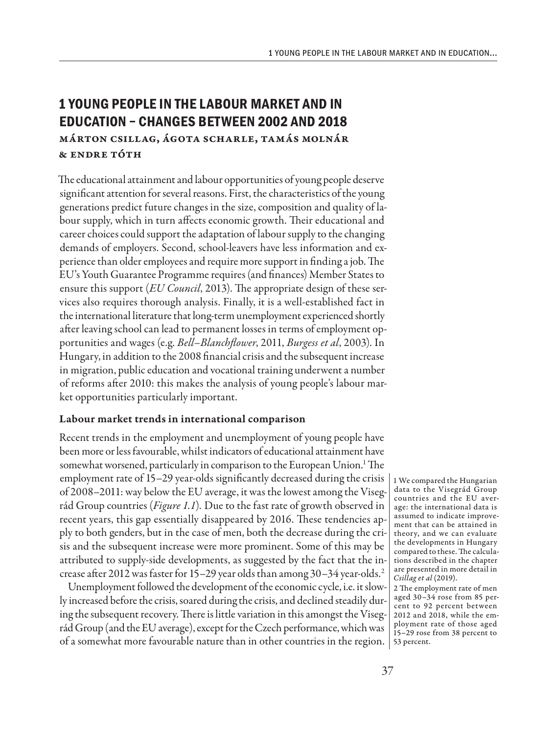# **1 YOUNG PEOPLE IN THE LABOUR MARKET AND IN EDUCATION – CHANGES BETWEEN 2002 AND 2018** Márton Csillag, Ágota Scharle, Tamás Molnár & Endre Tóth

The educational attainment and labour opportunities of young people deserve significant attention for several reasons. First, the characteristics of the young generations predict future changes in the size, composition and quality of labour supply, which in turn affects economic growth. Their educational and career choices could support the adaptation of labour supply to the changing demands of employers. Second, school-leavers have less information and experience than older employees and require more support in finding a job. The EU's Youth Guarantee Programme requires (and finances) Member States to ensure this support (*EU Council*, 2013). The appropriate design of these services also requires thorough analysis. Finally, it is a well-established fact in the international literature that long-term unemployment experienced shortly after leaving school can lead to permanent losses in terms of employment opportunities and wages (e.g. *Bell–Blanchflower*, 2011, *Burgess et al*, 2003). In Hungary, in addition to the 2008 financial crisis and the subsequent increase in migration, public education and vocational training underwent a number of reforms after 2010: this makes the analysis of young people's labour market opportunities particularly important.

# Labour market trends in international comparison

Recent trends in the employment and unemployment of young people have been more or less favourable, whilst indicators of educational attainment have somewhat worsened, particularly in comparison to the European Union.<sup>1</sup> The employment rate of 15–29 year-olds significantly decreased during the crisis of 2008–2011: way below the EU average, it was the lowest among the Visegrád Group countries (*Figure 1.1*)*.* Due to the fast rate of growth observed in recent years, this gap essentially disappeared by 2016. These tendencies apply to both genders, but in the case of men, both the decrease during the crisis and the subsequent increase were more prominent. Some of this may be attributed to supply-side developments, as suggested by the fact that the increase after 2012 was faster for 15–29 year olds than among 30–34 year-olds.2

Unemployment followed the development of the economic cycle, i.e. it slowly increased before the crisis, soared during the crisis, and declined steadily during the subsequent recovery. There is little variation in this amongst the Visegrád Group (and the EU average), except for the Czech performance, which was of a somewhat more favourable nature than in other countries in the region. 53 percent.

1 We compared the Hungarian data to the Visegrád Group countries and the EU average: the international data is assumed to indicate improvement that can be attained in theory, and we can evaluate the developments in Hungary compared to these. The calculations described in the chapter are presented in more detail in *Csillag et al* (2019).

<sup>2</sup> The employment rate of men aged 30–34 rose from 85 percent to 92 percent between 2012 and 2018, while the employment rate of those aged 15–29 rose from 38 percent to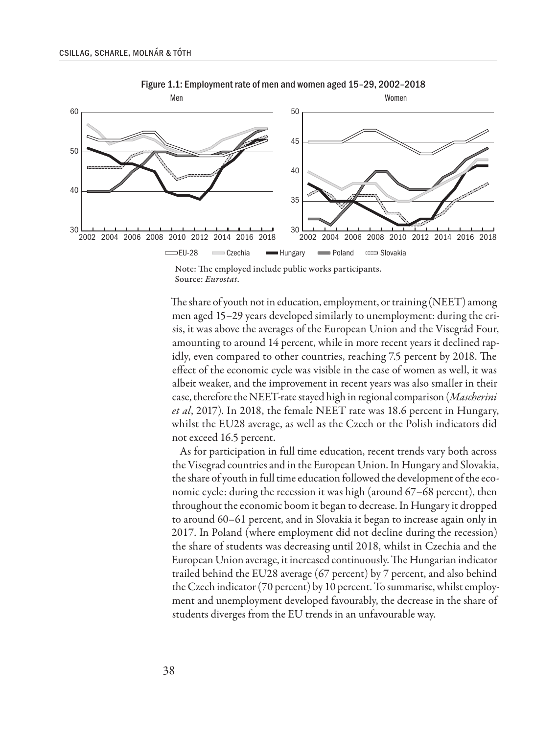

Figure 1.1: Employment rate of men and women aged 15–29, 2002–2018

Note: The employed include public works participants. Source: *Eurostat*.

The share of youth not in education, employment, or training (NEET) among men aged 15–29 years developed similarly to unemployment: during the crisis, it was above the averages of the European Union and the Visegrád Four, amounting to around 14 percent, while in more recent years it declined rapidly, even compared to other countries, reaching 7.5 percent by 2018. The effect of the economic cycle was visible in the case of women as well, it was albeit weaker, and the improvement in recent years was also smaller in their case, therefore the NEET-rate stayed high in regional comparison (*Mascherini et al*, 2017). In 2018, the female NEET rate was 18.6 percent in Hungary, whilst the EU28 average, as well as the Czech or the Polish indicators did not exceed 16.5 percent.

As for participation in full time education, recent trends vary both across the Visegrad countries and in the European Union. In Hungary and Slovakia, the share of youth in full time education followed the development of the economic cycle: during the recession it was high (around 67–68 percent), then throughout the economic boom it began to decrease. In Hungary it dropped to around 60–61 percent, and in Slovakia it began to increase again only in 2017. In Poland (where employment did not decline during the recession) the share of students was decreasing until 2018, whilst in Czechia and the European Union average, it increased continuously. The Hungarian indicator trailed behind the EU28 average (67 percent) by 7 percent, and also behind the Czech indicator (70 percent) by 10 percent. To summarise, whilst employment and unemployment developed favourably, the decrease in the share of students diverges from the EU trends in an unfavourable way.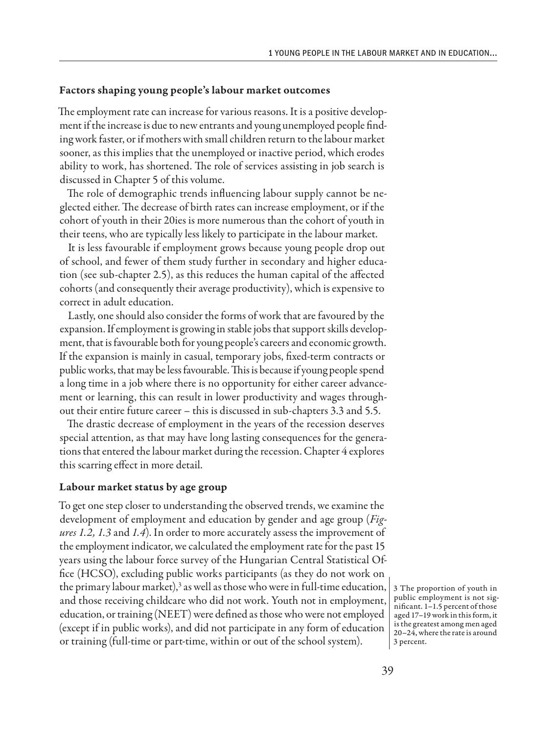### Factors shaping young people's labour market outcomes

The employment rate can increase for various reasons. It is a positive development if the increase is due to new entrants and young unemployed people finding work faster, or if mothers with small children return to the labour market sooner, as this implies that the unemployed or inactive period, which erodes ability to work, has shortened. The role of services assisting in job search is discussed in Chapter 5 of this volume.

The role of demographic trends influencing labour supply cannot be neglected either. The decrease of birth rates can increase employment, or if the cohort of youth in their 20ies is more numerous than the cohort of youth in their teens, who are typically less likely to participate in the labour market.

It is less favourable if employment grows because young people drop out of school, and fewer of them study further in secondary and higher education (see sub-chapter 2.5), as this reduces the human capital of the affected cohorts (and consequently their average productivity), which is expensive to correct in adult education.

Lastly, one should also consider the forms of work that are favoured by the expansion. If employment is growing in stable jobs that support skills development, that is favourable both for young people's careers and economic growth. If the expansion is mainly in casual, temporary jobs, fixed-term contracts or public works, that may be less favourable. This is because if young people spend a long time in a job where there is no opportunity for either career advancement or learning, this can result in lower productivity and wages throughout their entire future career – this is discussed in sub-chapters 3.3 and 5.5.

The drastic decrease of employment in the years of the recession deserves special attention, as that may have long lasting consequences for the generations that entered the labour market during the recession. Chapter 4 explores this scarring effect in more detail.

## Labour market status by age group

To get one step closer to understanding the observed trends, we examine the development of employment and education by gender and age group (*Figures 1.2, 1.3* and *1.4*). In order to more accurately assess the improvement of the employment indicator, we calculated the employment rate for the past 15 years using the labour force survey of the Hungarian Central Statistical Office (HCSO), excluding public works participants (as they do not work on the primary labour market), $^3$  as well as those who were in full-time education,  $\mid$  3 The proportion of youth in and those receiving childcare who did not work. Youth not in employment, education, or training (NEET) were defined as those who were not employed (except if in public works), and did not participate in any form of education or training (full-time or part-time, within or out of the school system).

public employment is not significant. 1–1.5 percent of those aged 17–19 work in this form, it is the greatest among men aged 20–24, where the rate is around 3 percent.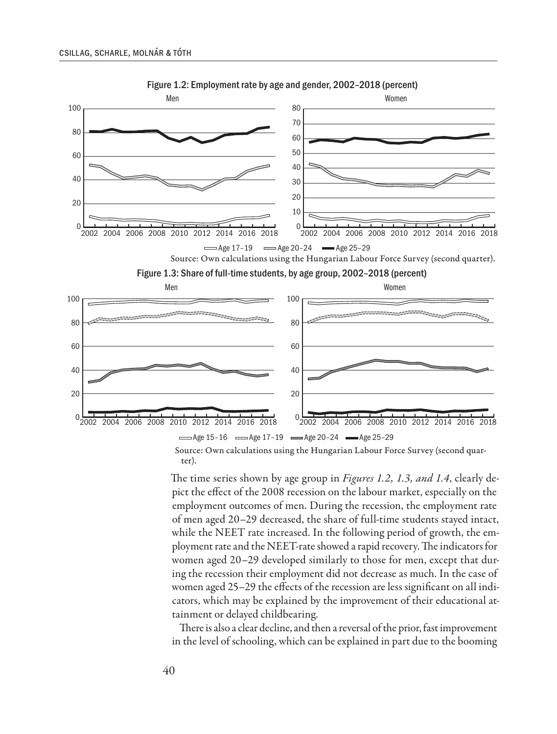

Figure 1.2: Employment rate by age and gender, 2002–2018 (percent)

Source: Own calculations using the Hungarian Labour Force Survey (second quarter).

The time series shown by age group in *Figures 1.2, 1.3, and 1.4*, clearly depict the effect of the 2008 recession on the labour market, especially on the employment outcomes of men. During the recession, the employment rate of men aged 20–29 decreased, the share of full-time students stayed intact, while the NEET rate increased. In the following period of growth, the employment rate and the NEET-rate showed a rapid recovery. The indicators for women aged 20–29 developed similarly to those for men, except that during the recession their employment did not decrease as much. In the case of women aged 25–29 the effects of the recession are less significant on all indicators, which may be explained by the improvement of their educational attainment or delayed childbearing.

There is also a clear decline, and then a reversal of the prior, fast improvement in the level of schooling, which can be explained in part due to the booming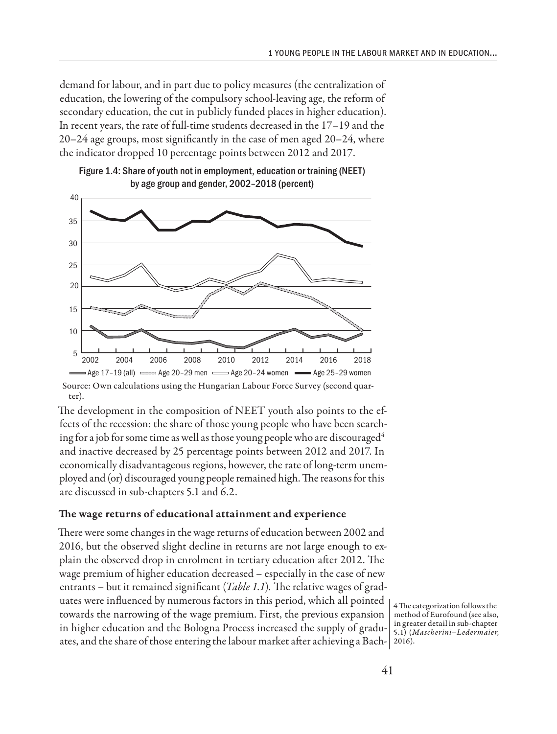demand for labour, and in part due to policy measures (the centralization of education, the lowering of the compulsory school-leaving age, the reform of secondary education, the cut in publicly funded places in higher education). In recent years, the rate of full-time students decreased in the 17–19 and the 20–24 age groups, most significantly in the case of men aged 20–24, where the indicator dropped 10 percentage points between 2012 and 2017.





Source: Own calculations using the Hungarian Labour Force Survey (second quarter).

The development in the composition of NEET youth also points to the effects of the recession: the share of those young people who have been searching for a job for some time as well as those young people who are discouraged<sup>4</sup> and inactive decreased by 25 percentage points between 2012 and 2017. In economically disadvantageous regions, however, the rate of long-term unemployed and (or) discouraged young people remained high. The reasons for this are discussed in sub-chapters 5.1 and 6.2.

### The wage returns of educational attainment and experience

There were some changes in the wage returns of education between 2002 and 2016, but the observed slight decline in returns are not large enough to explain the observed drop in enrolment in tertiary education after 2012. The wage premium of higher education decreased – especially in the case of new entrants – but it remained significant (*Table 1.1*)*.* The relative wages of graduates were influenced by numerous factors in this period, which all pointed towards the narrowing of the wage premium. First, the previous expansion in higher education and the Bologna Process increased the supply of graduates, and the share of those entering the labour market after achieving a Bach-2016).

4 The categorization follows the method of Eurofound (see also, in greater detail in sub-chapter 5.1) (*Mascherini–Ledermaier,*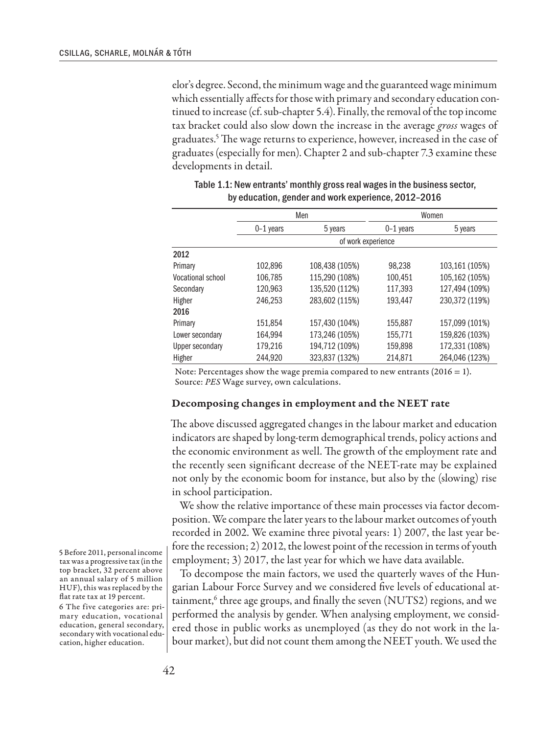elor's degree. Second, the minimum wage and the guaranteed wage minimum which essentially affects for those with primary and secondary education continued to increase (cf. sub-chapter 5.4). Finally, the removal of the top income tax bracket could also slow down the increase in the average *gross* wages of graduates.5 The wage returns to experience, however, increased in the case of graduates (especially for men). Chapter 2 and sub-chapter 7.3 examine these developments in detail.

|                   | Men         |                    | Women       |                |  |  |
|-------------------|-------------|--------------------|-------------|----------------|--|--|
|                   | $0-1$ years | 5 years            | $0-1$ years | 5 years        |  |  |
|                   |             | of work experience |             |                |  |  |
| 2012              |             |                    |             |                |  |  |
| Primary           | 102,896     | 108,438 (105%)     | 98,238      | 103,161 (105%) |  |  |
| Vocational school | 106,785     | 115,290 (108%)     | 100,451     | 105,162 (105%) |  |  |
| Secondary         | 120,963     | 135,520 (112%)     | 117,393     | 127,494 (109%) |  |  |
| Higher            | 246.253     | 283,602 (115%)     | 193.447     | 230,372 (119%) |  |  |
| 2016              |             |                    |             |                |  |  |
| Primary           | 151,854     | 157,430 (104%)     | 155,887     | 157,099 (101%) |  |  |
| Lower secondary   | 164,994     | 173,246 (105%)     | 155,771     | 159,826 (103%) |  |  |
| Upper secondary   | 179,216     | 194,712 (109%)     | 159,898     | 172,331 (108%) |  |  |
| Higher            | 244.920     | 323.837 (132%)     | 214.871     | 264.046 (123%) |  |  |

| Table 1.1: New entrants' monthly gross real wages in the business sector, |
|---------------------------------------------------------------------------|
| by education, gender and work experience, 2012-2016                       |

Note: Percentages show the wage premia compared to new entrants  $(2016 = 1)$ . Source: *PES* Wage survey, own calculations.

#### Decomposing changes in employment and the NEET rate

The above discussed aggregated changes in the labour market and education indicators are shaped by long-term demographical trends, policy actions and the economic environment as well. The growth of the employment rate and the recently seen significant decrease of the NEET-rate may be explained not only by the economic boom for instance, but also by the (slowing) rise in school participation.

We show the relative importance of these main processes via factor decomposition. We compare the later years to the labour market outcomes of youth recorded in 2002. We examine three pivotal years: 1) 2007, the last year before the recession; 2) 2012, the lowest point of the recession in terms of youth employment; 3) 2017, the last year for which we have data available.

To decompose the main factors, we used the quarterly waves of the Hungarian Labour Force Survey and we considered five levels of educational attainment,<sup>6</sup> three age groups, and finally the seven (NUTS2) regions, and we performed the analysis by gender. When analysing employment, we considered those in public works as unemployed (as they do not work in the labour market), but did not count them among the NEET youth. We used the

5 Before 2011, personal income tax was a progressive tax (in the top bracket, 32 percent above an annual salary of 5 million HUF), this was replaced by the flat rate tax at 19 percent.

6 The five categories are: primary education, vocational education, general secondary, secondary with vocational education, higher education.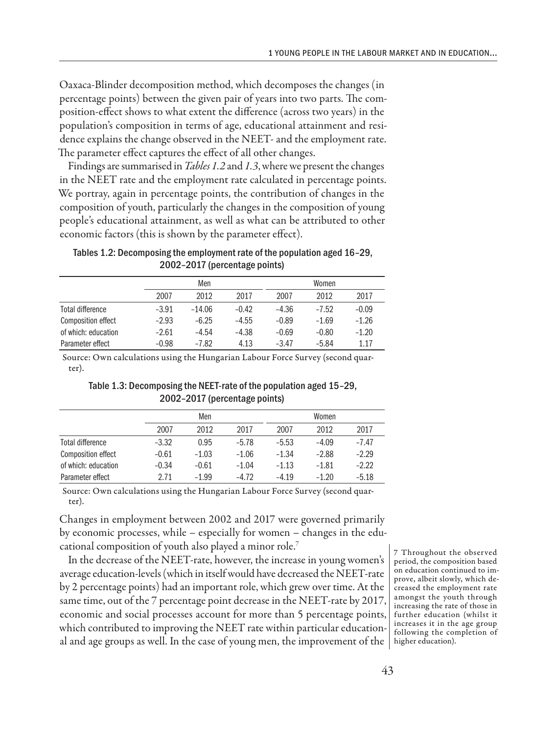Oaxaca-Blinder decomposition method, which decomposes the changes (in percentage points) between the given pair of years into two parts. The composition-effect shows to what extent the difference (across two years) in the population's composition in terms of age, educational attainment and residence explains the change observed in the NEET- and the employment rate. The parameter effect captures the effect of all other changes.

Findings are summarised in *Tables 1.2* and *1.3*, where we present the changes in the NEET rate and the employment rate calculated in percentage points. We portray, again in percentage points, the contribution of changes in the composition of youth, particularly the changes in the composition of young people's educational attainment, as well as what can be attributed to other economic factors (this is shown by the parameter effect).

Tables 1.2: Decomposing the employment rate of the population aged 16–29, 2002–2017 (percentage points)

|                           |         | Men      |         |         | Women   |         |  |
|---------------------------|---------|----------|---------|---------|---------|---------|--|
|                           | 2007    | 2012     | 2017    | 2007    | 2012    | 2017    |  |
| Total difference          | $-3.91$ | $-14.06$ | $-0.42$ | $-4.36$ | $-7.52$ | $-0.09$ |  |
| <b>Composition effect</b> | $-2.93$ | $-6.25$  | $-4.55$ | $-0.89$ | $-1.69$ | $-1.26$ |  |
| of which: education       | $-2.61$ | $-4.54$  | $-4.38$ | $-0.69$ | $-0.80$ | $-1.20$ |  |
| Parameter effect          | $-0.98$ | $-7.82$  | 4.13    | $-3.47$ | $-5.84$ | 1.17    |  |

Source: Own calculations using the Hungarian Labour Force Survey (second quarter).

## Table 1.3: Decomposing the NEET-rate of the population aged 15–29, 2002–2017 (percentage points)

|                           |         | Men     |         |         | Women   |         |  |
|---------------------------|---------|---------|---------|---------|---------|---------|--|
|                           | 2007    | 2012    | 2017    | 2007    | 2012    | 2017    |  |
| Total difference          | $-3.32$ | 0.95    | $-5.78$ | $-5.53$ | $-4.09$ | $-7.47$ |  |
| <b>Composition effect</b> | $-0.61$ | $-1.03$ | $-1.06$ | $-1.34$ | $-2.88$ | $-2.29$ |  |
| of which: education       | $-0.34$ | $-0.61$ | $-1.04$ | $-1.13$ | $-1.81$ | $-2.22$ |  |
| Parameter effect          | 2.71    | $-1.99$ | $-4.72$ | $-4.19$ | $-1.20$ | $-5.18$ |  |

Source: Own calculations using the Hungarian Labour Force Survey (second quarter).

Changes in employment between 2002 and 2017 were governed primarily by economic processes, while – especially for women – changes in the educational composition of youth also played a minor role.7

In the decrease of the NEET-rate, however, the increase in young women's average education-levels (which in itself would have decreased the NEET-rate by 2 percentage points) had an important role, which grew over time. At the same time, out of the 7 percentage point decrease in the NEET-rate by 2017, economic and social processes account for more than 5 percentage points, which contributed to improving the NEET rate within particular educational and age groups as well. In the case of young men, the improvement of the  $\, \vert \,$  higher education).

7 Throughout the observed period, the composition based on education continued to improve, albeit slowly, which decreased the employment rate amongst the youth through increasing the rate of those in further education (whilst it increases it in the age group following the completion of